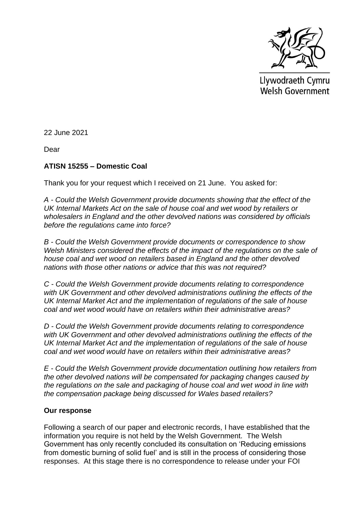

Llywodraeth Cymru Welsh Government

22 June 2021

Dear

## **ATISN 15255 – Domestic Coal**

Thank you for your request which I received on 21 June. You asked for:

*A - Could the Welsh Government provide documents showing that the effect of the UK Internal Markets Act on the sale of house coal and wet wood by retailers or wholesalers in England and the other devolved nations was considered by officials before the regulations came into force?*

*B - Could the Welsh Government provide documents or correspondence to show Welsh Ministers considered the effects of the impact of the regulations on the sale of house coal and wet wood on retailers based in England and the other devolved nations with those other nations or advice that this was not required?*

*C - Could the Welsh Government provide documents relating to correspondence with UK Government and other devolved administrations outlining the effects of the UK Internal Market Act and the implementation of regulations of the sale of house coal and wet wood would have on retailers within their administrative areas?*

*D - Could the Welsh Government provide documents relating to correspondence with UK Government and other devolved administrations outlining the effects of the UK Internal Market Act and the implementation of regulations of the sale of house coal and wet wood would have on retailers within their administrative areas?*

*E - Could the Welsh Government provide documentation outlining how retailers from the other devolved nations will be compensated for packaging changes caused by the regulations on the sale and packaging of house coal and wet wood in line with the compensation package being discussed for Wales based retailers?*

## **Our response**

Following a search of our paper and electronic records, I have established that the information you require is not held by the Welsh Government. The Welsh Government has only recently concluded its consultation on 'Reducing emissions from domestic burning of solid fuel' and is still in the process of considering those responses. At this stage there is no correspondence to release under your FOI